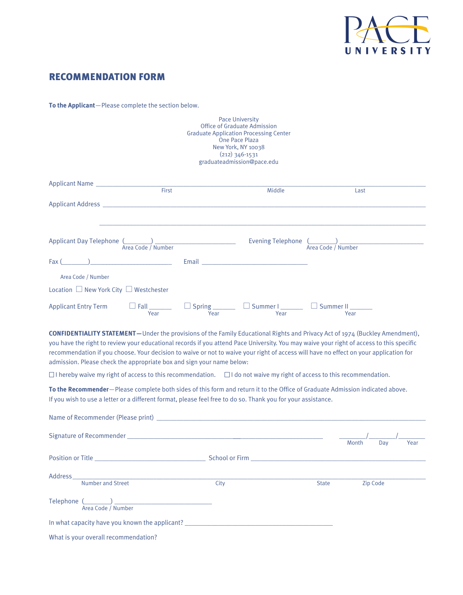

## RECOMMENDATION FORM

**To the Applicant**—Please complete the section below.

| <b>Pace University</b><br><b>Office of Graduate Admission</b><br><b>Graduate Application Processing Center</b><br>One Pace Plaza<br>New York, NY 10038<br>$(212)$ 346-1531<br>graduateadmission@pace.edu                                                                                                                                                                                                                                                                                           |                                                                        |              |              |      |  |  |  |  |
|----------------------------------------------------------------------------------------------------------------------------------------------------------------------------------------------------------------------------------------------------------------------------------------------------------------------------------------------------------------------------------------------------------------------------------------------------------------------------------------------------|------------------------------------------------------------------------|--------------|--------------|------|--|--|--|--|
| Applicant Name ____________________<br>First                                                                                                                                                                                                                                                                                                                                                                                                                                                       | Middle                                                                 |              | Last         |      |  |  |  |  |
|                                                                                                                                                                                                                                                                                                                                                                                                                                                                                                    |                                                                        |              |              |      |  |  |  |  |
| Applicant Day Telephone (Allen Allen Allen And Area Code / Number                                                                                                                                                                                                                                                                                                                                                                                                                                  |                                                                        |              |              |      |  |  |  |  |
| Fax (<br>Area Code / Number                                                                                                                                                                                                                                                                                                                                                                                                                                                                        |                                                                        |              |              |      |  |  |  |  |
| Location $\Box$ New York City $\Box$ Westchester<br><b>Applicant Entry Term</b><br>$\Box$ Fall<br>Year                                                                                                                                                                                                                                                                                                                                                                                             | $\Box$ Spring $\Box$ $\Box$ Summer $\Box$ $\Box$ Summer II $\Box$ Year |              |              |      |  |  |  |  |
| <b>CONFIDENTIALITY STATEMENT</b> —Under the provisions of the Family Educational Rights and Privacy Act of 1974 (Buckley Amendment),<br>you have the right to review your educational records if you attend Pace University. You may waive your right of access to this specific<br>recommendation if you choose. Your decision to waive or not to waive your right of access will have no effect on your application for<br>admission. Please check the appropriate box and sign your name below: |                                                                        |              |              |      |  |  |  |  |
| $\Box$ I hereby waive my right of access to this recommendation. $\Box$ I do not waive my right of access to this recommendation.                                                                                                                                                                                                                                                                                                                                                                  |                                                                        |              |              |      |  |  |  |  |
| To the Recommender-Please complete both sides of this form and return it to the Office of Graduate Admission indicated above.<br>If you wish to use a letter or a different format, please feel free to do so. Thank you for your assistance.                                                                                                                                                                                                                                                      |                                                                        |              |              |      |  |  |  |  |
|                                                                                                                                                                                                                                                                                                                                                                                                                                                                                                    |                                                                        |              |              |      |  |  |  |  |
|                                                                                                                                                                                                                                                                                                                                                                                                                                                                                                    |                                                                        |              | Month<br>Day | Year |  |  |  |  |
|                                                                                                                                                                                                                                                                                                                                                                                                                                                                                                    |                                                                        |              |              |      |  |  |  |  |
| Number and Street                                                                                                                                                                                                                                                                                                                                                                                                                                                                                  | City                                                                   | <b>State</b> | Zip Code     |      |  |  |  |  |
| Telephone (Campaign Channel Channel Channel Channel Channel Channel Channel Channel Channel Channel Channel Channel Channel Channel Channel Channel Channel Channel Channel Channel Channel Channel Channel Channel Channel Ch                                                                                                                                                                                                                                                                     |                                                                        |              |              |      |  |  |  |  |
|                                                                                                                                                                                                                                                                                                                                                                                                                                                                                                    |                                                                        |              |              |      |  |  |  |  |
| What is your overall recommendation?                                                                                                                                                                                                                                                                                                                                                                                                                                                               |                                                                        |              |              |      |  |  |  |  |